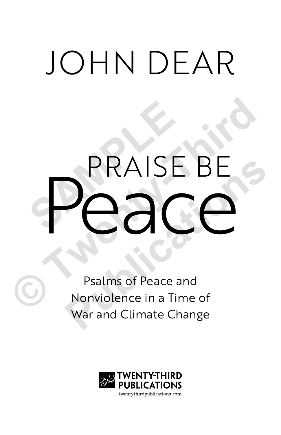## JOHN DEAR

# PRAISE BE Peace PRAISE PRAISE BE **PRAISE BE<br>
COCC**<br>
Psalms of Peace and<br>
Nonviolence in a Time of<br>
War and Climate Change

Psalms of Peace and Nonviolence in a Time of War and Climate Change

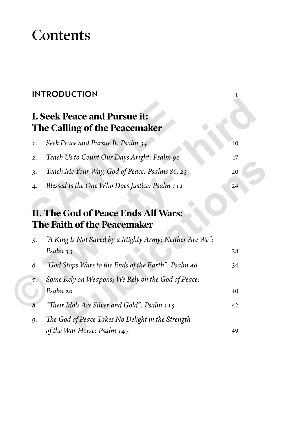### **Contents**

#### **INTRODUCTION**

#### **I. Seek Peace and Pursue it: The Calling of the Peacemaker**

|    | <b>I. Seek Peace and Pursue it:</b><br>The Calling of the Peacemaker             |    |
|----|----------------------------------------------------------------------------------|----|
| 1. | Seek Peace and Pursue It: Psalm 34                                               | 10 |
| 2. | Teach Us to Count Our Days Aright: Psalm 90                                      | 17 |
| 3. | Teach Me Your Way, God of Peace: Psalms 86, 25                                   | 20 |
| 4. | Blessed Is the One Who Does Justice: Psalm 112                                   | 24 |
|    | <b>II. The God of Peace Ends All Wars:</b><br><b>The Faith of the Peacemaker</b> |    |

#### **II. The God of Peace Ends All Wars: The Faith of the Peacemaker**

|                  | <b>I. Seek Peace and Pursue it:</b><br>The Calling of the Peacemaker      |    |
|------------------|---------------------------------------------------------------------------|----|
| 1.               | Seek Peace and Pursue It: Psalm 34                                        | 10 |
| 2.               | Teach Us to Count Our Days Aright: Psalm 90                               | 17 |
| $\overline{3}$ . | Teach Me Your Way, God of Peace: Psalms 86, 25                            | 20 |
| 4.               | Blessed Is the One Who Does Justice: Psalm 112                            | 24 |
|                  | <b>II. The God of Peace Ends All Wars:</b><br>The Faith of the Peacemaker |    |
| $\mathcal{S}$    | "A King Is Not Saved by a Mighty Army; Neither Are We":<br>Psalm 33       | 28 |
| 6.               | "God Stops Wars to the Ends of the Earth": Psalm 46                       | 34 |
|                  | Some Rely on Weapons; We Rely on the God of Peace:<br>Psalm 20            | 40 |
| 8.               | "Their Idols Are Silver and Gold": Psalm 115                              | 42 |
| 9.               | The God of Peace Takes No Delight in the Strength                         |    |
|                  | of the War Horse: Psalm 147                                               | 49 |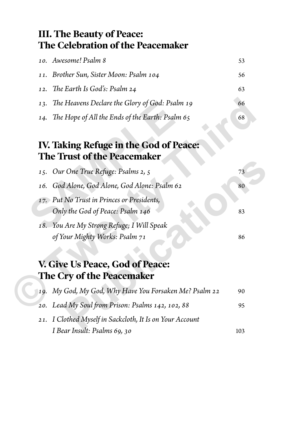#### **III. The Beauty of Peace: The Celebration of the Peacemaker**

| 10. Awesome! Psalm 8                                                                     | 53 |
|------------------------------------------------------------------------------------------|----|
| Brother Sun, Sister Moon: Psalm 104<br>11.                                               | 56 |
| The Earth Is God's: Psalm 24<br>12.                                                      | 63 |
| The Heavens Declare the Glory of God: Psalm 19<br>13.                                    | 66 |
| 14. The Hope of All the Ends of the Earth: Psalm 65                                      | 68 |
| IV. Taking Refuge in the God of Peace:<br><b>The Trust of the Peacemaker</b>             |    |
| 15. Our One True Refuge: Psalms 2, 5                                                     | 73 |
| 16. God Alone, God Alone, God Alone: Psalm 62                                            | 80 |
| 17. Put No Trust in Princes or Presidents,<br>Only the God of Peace: Psalm 146           | 83 |
| 18. You Are My Strong Refuge; I Will Speak<br>of Your Mighty Works: Psalm 71             | 86 |
| V. Give Us Peace, God of Peace:<br>The Cry of the Peacemaker                             |    |
| My God, My God, Why Have You Forsaken Me? Psalm 22<br>19.                                | 90 |
| Lead My Soul from Prison: Psalms 142, 102, 88<br>20.                                     | 95 |
| I Clothed Myself in Sackcloth, It Is on Your Account<br>21.                              |    |
| $ID_{\text{new}}$ $L_{\text{new}}$ $L_{\text{new}}$ $D_{\text{new}}$ $\ell_{\text{new}}$ |    |

*I Bear Insult: Psalms 69, 30* 103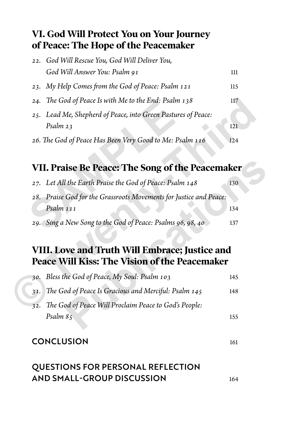#### **VI. God Will Protect You on Your Journey of Peace: The Hope of the Peacemaker**

| God Will Rescue You, God Will Deliver You,<br>22.                  |     |
|--------------------------------------------------------------------|-----|
| God Will Answer You: Psalm 91                                      | 111 |
| My Help Comes from the God of Peace: Psalm 121<br>23.              | 115 |
| The God of Peace Is with Me to the End: Psalm 138<br>24.           | 117 |
| Lead Me, Shepherd of Peace, into Green Pastures of Peace:<br>25.   |     |
| Psalm 23                                                           | 121 |
| 26. The God of Peace Has Been Very Good to Me: Psalm 116           | 124 |
|                                                                    |     |
| VII. Praise Be Peace: The Song of the Peacemaker                   |     |
| 27. Let All the Earth Praise the God of Peace: Psalm 148           | 130 |
| 28. Praise God for the Grassroots Movements for Justice and Peace: |     |
| Psalm 111                                                          | 134 |
| 29. Sing a New Song to the God of Peace: Psalms 96, 98, 40         | 137 |
|                                                                    |     |
| VIII. Love and Truth Will Embrace; Justice and                     |     |
| <b>Peace Will Kiss: The Vision of the Peacemaker</b>               |     |
| Bless the God of Peace, My Soul: Psalm 103<br>30.                  | 145 |
| The God of Peace Is Gracious and Merciful: Psalm 145<br>31.        | 148 |
| The God of Peace Will Proclaim Peace to God's People:<br>32.       |     |

#### **VII. Praise Be Peace: The Song of the Peacemaker**

| 24. The God of Peace is with the to the End: Psaim 138             | 11/ |
|--------------------------------------------------------------------|-----|
| 25. Lead Me, Shepherd of Peace, into Green Pastures of Peace:      |     |
| Psalm $23$                                                         | 121 |
| 26. The God of Peace Has Been Very Good to Me: Psalm 116           | 124 |
|                                                                    |     |
|                                                                    |     |
| VII. Praise Be Peace: The Song of the Peacemaker                   |     |
| 27. Let All the Earth Praise the God of Peace: Psalm 148           | 130 |
| 28. Praise God for the Grassroots Movements for Justice and Peace: |     |
| Psalm 111                                                          | 134 |
| Sing a New Song to the God of Peace: Psalms 96, 98, 40<br>29.      | 137 |

#### **VIII. Love and Truth Will Embrace; Justice and Peace Will Kiss: The Vision of the Peacemaker**

| VII. Praise Be Peace: The Song of the Peacemaker                                                       |                                                                    |     |  |
|--------------------------------------------------------------------------------------------------------|--------------------------------------------------------------------|-----|--|
|                                                                                                        | 27. Let All the Earth Praise the God of Peace: Psalm 148           | 130 |  |
|                                                                                                        | 28. Praise God for the Grassroots Movements for Justice and Peace: |     |  |
|                                                                                                        | Psalm 111                                                          | 134 |  |
|                                                                                                        | 29. Sing a New Song to the God of Peace: Psalms 96, 98, 40         | 137 |  |
| VIII. Love and Truth Will Embrace; Justice and<br><b>Peace Will Kiss: The Vision of the Peacemaker</b> |                                                                    |     |  |
|                                                                                                        | 30. Bless the God of Peace, My Soul: Psalm 103                     | 145 |  |
| 31.                                                                                                    | The God of Peace Is Gracious and Merciful: Psalm 145               | 148 |  |
|                                                                                                        |                                                                    |     |  |
| 32.                                                                                                    | The God of Peace Will Proclaim Peace to God's People:              |     |  |

#### CONCLUSION 161

#### QUESTIONS FOR PERSONAL REFLECTION AND SMALL-GROUP DISCUSSION 164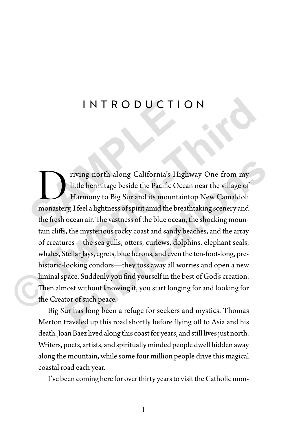#### INTRODUCTION

The Times of the Pacific Committee of Harmony to Big Sur and its mountaintop New Camaldoling California's Highway One from my little hermitage beside the Pacific Ocean near the village of Harmony to Big Sur and its mountai little hermitage beside the Pacific Ocean near the village of Harmony to Big Sur and its mountaintop New Camaldoli monastery, I feel a lightness of spirit amid the breathtaking scenery and the fresh ocean air. The vastness of the blue ocean, the shocking mountain cliffs, the mysterious rocky coast and sandy beaches, and the array of creatures—the sea gulls, otters, curlews, dolphins, elephant seals, whales, Stellar Jays, egrets, blue herons, and even the ten-foot-long, prehistoric-looking condors—they toss away all worries and open a new liminal space. Suddenly you find yourself in the best of God's creation. Then almost without knowing it, you start longing for and looking for the Creator of such peace. INTRODUCTION<br>
TRODUCTION<br>
Triving north along California's Highlittle hermitage beside the Pacific Ocentiar<br>
Harmony to Big Sur and its mountair<br>
the fresh ocean air. The vastness of spirit amid the breach<br>
tain cliffe the INTRODUCTION<br>
INTRODUCTION<br>
Triving north along California's Highway One from my<br>
little hermitage beside the Pacific Ocean near the village of<br>
Harmony to Big Sur and its mountaintop New Camaldoli<br>
monastery, I feel a lig riving north along California's Highway One from my<br>little hermitage beside the Pacific Ocean near the village of<br>Harmony to Big Sur and its mountaintop New Camaldoli<br>ry, I feel a lightness of spirit amid the breathtaking

Big Sur has long been a refuge for seekers and mystics. Thomas Merton traveled up this road shortly before flying off to Asia and his death. Joan Baez lived along this coast for years, and still lives just north. Writers, poets, artists, and spiritually minded people dwell hidden away along the mountain, while some four million people drive this magical coastal road each year.

I've been coming here for over thirty years to visit the Catholic mon-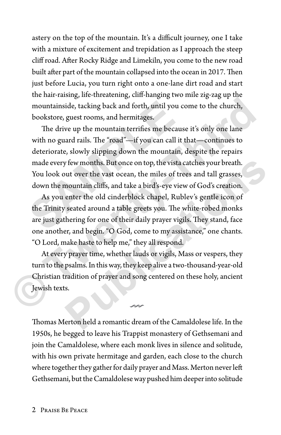astery on the top of the mountain. It's a difficult journey, one I take with a mixture of excitement and trepidation as I approach the steep cliff road. After Rocky Ridge and Limekiln, you come to the new road built after part of the mountain collapsed into the ocean in 2017. Then just before Lucia, you turn right onto a one-lane dirt road and start the hair-raising, life-threatening, cliff-hanging two mile zig-zag up the mountainside, tacking back and forth, until you come to the church, bookstore, guest rooms, and hermitages.

The drive up the mountain terrifies me because it's only one lane with no guard rails. The "road"—if you can call it that—continues to deteriorate, slowly slipping down the mountain, despite the repairs made every few months. But once on top, the vista catches your breath. You look out over the vast ocean, the miles of trees and tall grasses, down the mountain cliffs, and take a bird's-eye view of God's creation. mountainside, tacking back and forth, until you co<br>bookstore, guest rooms, and hermitages.<br>The drive up the mountain terrifies me because<br>with no guard rails. The "road"—if you can call it t<br>deteriorate, slowly slipping do mountainside, tacking back and forth, until you come to the church,<br>bookstore, guest rooms, and hermitages.<br>The drive up the mountain terrifies me because it's only one lane<br>with no guard rails. The "road"—if you can call

As you enter the old cinderblock chapel, Rublev's gentle icon of the Trinity seated around a table greets you. The white-robed monks are just gathering for one of their daily prayer vigils. They stand, face one another, and begin. "O God, come to my assistance," one chants. "O Lord, make haste to help me," they all respond. rew months. But once on top, the vista catches your breath.<br>
out over the vast ocean, the miles of trees and tall grasses,<br>
mountain cliffs, and take a bird's-eye view of God's creation.<br>
enter the old cinderblock chapel,

At every prayer time, whether lauds or vigils, Mass or vespers, they turn to the psalms. In this way, they keep alive a two-thousand-year-old Christian tradition of prayer and song centered on these holy, ancient Jewish texts.

V

Thomas Merton held a romantic dream of the Camaldolese life. In the 1950s, he begged to leave his Trappist monastery of Gethsemani and join the Camaldolese, where each monk lives in silence and solitude, with his own private hermitage and garden, each close to the church where together they gather for daily prayer and Mass. Merton never left Gethsemani, but the Camaldolese way pushed him deeper into solitude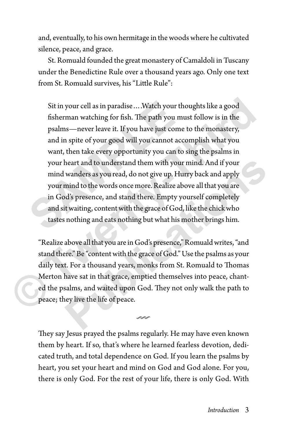and, eventually, to his own hermitage in the woods where he cultivated silence, peace, and grace.

St. Romuald founded the great monastery of Camaldoli in Tuscany under the Benedictine Rule over a thousand years ago. Only one text from St. Romuald survives, his "Little Rule":

Sit in your cell as in paradise….Watch your thoughts like a good fisherman watching for fish. The path you must follow is in the psalms—never leave it. If you have just come to the monastery, and in spite of your good will you cannot accomplish what you want, then take every opportunity you can to sing the psalms in your heart and to understand them with your mind. And if your mind wanders as you read, do not give up. Hurry back and apply your mind to the words once more. Realize above all that you are in God's presence, and stand there. Empty yourself completely and sit waiting, content with the grace of God, like the chick who tastes nothing and eats nothing but what his mother brings him. Sit in your cell as in paradise ....Watch your the<br>fisherman watching for fish. The path you mu<br>psalms—never leave it. If you have just come<br>and in spite of your good will you cannot acce<br>want, then take every opportunity Sit in your cell as in paradise ... Watch your thoughts like a good<br>fisherman watching for fish. The path you must follow is in the<br>psalms—never leave it. If you have just come to the monastery,<br>and in spite of your good w

"Realize above all that you are in God's presence," Romuald writes, "and stand there." Be "content with the grace of God." Use the psalms as your daily text. For a thousand years, monks from St. Romuald to Thomas Merton have sat in that grace, emptied themselves into peace, chanted the psalms, and waited upon God. They not only walk the path to peace; they live the life of peace. heart and to understand them with your mind. And if your<br>wanders as you read, do not give up. Hurry back and apply<br>mind to the words once more. Realize above all that you are<br>d's presence, and stand there. Empty yourself c

They say Jesus prayed the psalms regularly. He may have even known them by heart. If so, that's where he learned fearless devotion, dedicated truth, and total dependence on God. If you learn the psalms by heart, you set your heart and mind on God and God alone. For you, there is only God. For the rest of your life, there is only God. With

V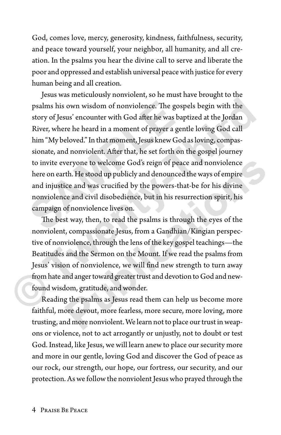God, comes love, mercy, generosity, kindness, faithfulness, security, and peace toward yourself, your neighbor, all humanity, and all creation. In the psalms you hear the divine call to serve and liberate the poor and oppressed and establish universal peace with justice for every human being and all creation.

Jesus was meticulously nonviolent, so he must have brought to the psalms his own wisdom of nonviolence. The gospels begin with the story of Jesus' encounter with God after he was baptized at the Jordan River, where he heard in a moment of prayer a gentle loving God call him "My beloved." In that moment, Jesus knew God as loving, compassionate, and nonviolent. After that, he set forth on the gospel journey to invite everyone to welcome God's reign of peace and nonviolence here on earth. He stood up publicly and denounced the ways of empire and injustice and was crucified by the powers-that-be for his divine nonviolence and civil disobedience, but in his resurrection spirit, his campaign of nonviolence lives on. psalms his own wisdom of nonviolence. The gosp<br>story of Jesus' encounter with God after he was bap<br>River, where he heard in a moment of prayer a gen<br>him "My beloved." In that moment, Jesus knew God<br>sionate, and nonviolent. psalms his own wisdom of nonviolence. The gospels begin with the<br>story of Jesus' encounter with God after he was baptized at the Jordan<br>River, where he heard in a moment of prayer a gentle loving God call<br>him "My beloved."

The best way, then, to read the psalms is through the eyes of the nonviolent, compassionate Jesus, from a Gandhian/Kingian perspective of nonviolence, through the lens of the key gospel teachings—the Beatitudes and the Sermon on the Mount. If we read the psalms from Jesus' vision of nonviolence, we will find new strength to turn away from hate and anger toward greater trust and devotion to God and newfound wisdom, gratitude, and wonder. reyone to welcome God's reign of peace and nonviolence<br>th. He stood up publicly and denounced the ways of empire<br>ce and was crucified by the powers-that-be for his divine<br>ee and civil disobedience, but in his resurrection

Reading the psalms as Jesus read them can help us become more faithful, more devout, more fearless, more secure, more loving, more trusting, and more nonviolent. We learn not to place our trust in weapons or violence, not to act arrogantly or unjustly, not to doubt or test God. Instead, like Jesus, we will learn anew to place our security more and more in our gentle, loving God and discover the God of peace as our rock, our strength, our hope, our fortress, our security, and our protection. As we follow the nonviolent Jesus who prayed through the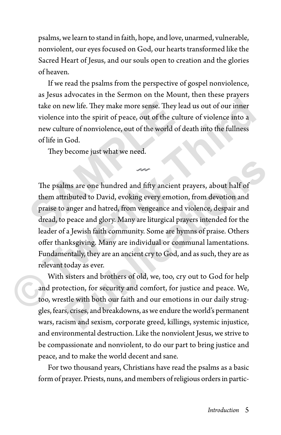psalms, we learn to stand in faith, hope, and love, unarmed, vulnerable, nonviolent, our eyes focused on God, our hearts transformed like the Sacred Heart of Jesus, and our souls open to creation and the glories of heaven.

If we read the psalms from the perspective of gospel nonviolence, as Jesus advocates in the Sermon on the Mount, then these prayers take on new life. They make more sense. They lead us out of our inner violence into the spirit of peace, out of the culture of violence into a new culture of nonviolence, out of the world of death into the fullness of life in God.

They become just what we need.

The psalms are one hundred and fifty ancient prayers, about half of them attributed to David, evoking every emotion, from devotion and praise to anger and hatred, from vengeance and violence, despair and dread, to peace and glory. Many are liturgical prayers intended for the leader of a Jewish faith community. Some are hymns of praise. Others offer thanksgiving. Many are individual or communal lamentations. Fundamentally, they are an ancient cry to God, and as such, they are as relevant today as ever. take on new life. They make more sense. They lea<br>violence into the spirit of peace, out of the culture<br>new culture of nonviolence, out of the world of d<br>of life in God.<br>They become just what we need.<br>The psalms are one hun Example 12 and the spirit of peace of the spirit of the same of the spirit of the spirit of peace, out of the culture of violence into a<br>new culture of nonviolence, out of the culture of violence into a<br>new culture of nonv ms are one hundred and fifty ancient prayers, about half of<br>ributed to David, evoking every emotion, from devotion and<br>anger and hatred, from vengeance and violence, despair and<br>peace and glory. Many are liturgical prayers

V

With sisters and brothers of old, we, too, cry out to God for help and protection, for security and comfort, for justice and peace. We, too, wrestle with both our faith and our emotions in our daily struggles, fears, crises, and breakdowns, as we endure the world's permanent wars, racism and sexism, corporate greed, killings, systemic injustice, and environmental destruction. Like the nonviolent Jesus, we strive to be compassionate and nonviolent, to do our part to bring justice and peace, and to make the world decent and sane.

For two thousand years, Christians have read the psalms as a basic form of prayer. Priests, nuns, and members of religious orders in partic-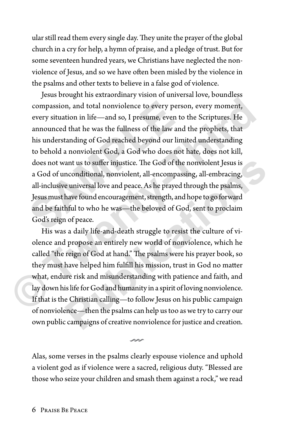ular still read them every single day. They unite the prayer of the global church in a cry for help, a hymn of praise, and a pledge of trust. But for some seventeen hundred years, we Christians have neglected the nonviolence of Jesus, and so we have often been misled by the violence in the psalms and other texts to believe in a false god of violence.

Jesus brought his extraordinary vision of universal love, boundless compassion, and total nonviolence to every person, every moment, every situation in life—and so, I presume, even to the Scriptures. He announced that he was the fullness of the law and the prophets, that his understanding of God reached beyond our limited understanding to behold a nonviolent God, a God who does not hate, does not kill, does not want us to suffer injustice. The God of the nonviolent Jesus is a God of unconditional, nonviolent, all-encompassing, all-embracing, all-inclusive universal love and peace. As he prayed through the psalms, Jesus must have found encouragement, strength, and hope to go forward and be faithful to who he was—the beloved of God, sent to proclaim God's reign of peace. compassion, and total nonviolence to every persc<br>every situation in life—and so, I presume, even to<br>announced that he was the fullness of the law and<br>his understanding of God reached beyond our limi<br>to behold a nonviolent compassion, and total nonviolence to every person, every moment,<br>compassion, and total nonviolence to every person, every moment,<br>every situation in life—and so, I presume, even to the Scriptures. He<br>announced that he was

His was a daily life-and-death struggle to resist the culture of violence and propose an entirely new world of nonviolence, which he called "the reign of God at hand." The psalms were his prayer book, so they must have helped him fulfill his mission, trust in God no matter what, endure risk and misunderstanding with patience and faith, and lay down his life for God and humanity in a spirit of loving nonviolence. If that is the Christian calling—to follow Jesus on his public campaign of nonviolence—then the psalms can help us too as we try to carry our own public campaigns of creative nonviolence for justice and creation. ant us to suffer injustice. The God of the nonviolent Jesus is<br>nconditional, nonviolent, all-encompassing, all-embracing,<br>e universal love and peace. As he prayed through the psalms,<br>have found encouragement, strength, and

Alas, some verses in the psalms clearly espouse violence and uphold a violent god as if violence were a sacred, religious duty. "Blessed are those who seize your children and smash them against a rock," we read

V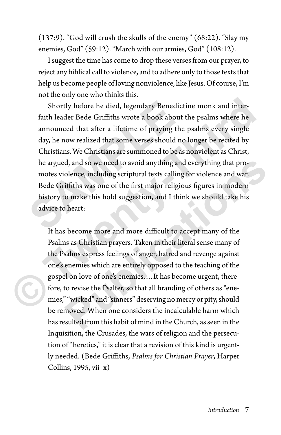(137:9). "God will crush the skulls of the enemy" (68:22). "Slay my enemies, God" (59:12). "March with our armies, God" (108:12).

I suggest the time has come to drop these verses from our prayer, to reject any biblical call to violence, and to adhere only to those texts that help us become people of loving nonviolence, like Jesus. Of course, I'm not the only one who thinks this.

Shortly before he died, legendary Benedictine monk and interfaith leader Bede Griffiths wrote a book about the psalms where he announced that after a lifetime of praying the psalms every single day, he now realized that some verses should no longer be recited by Christians. We Christians are summoned to be as nonviolent as Christ, he argued, and so we need to avoid anything and everything that promotes violence, including scriptural texts calling for violence and war. Bede Griffiths was one of the first major religious figures in modern history to make this bold suggestion, and I think we should take his advice to heart: Shortly before he died, legendary Benedicti<br>faith leader Bede Griffiths wrote a book about t<br>announced that after a lifetime of praying the<br>day, he now realized that some verses should no<br>Christians. We Christians are summ Shortly before he died, legendary Benedictine monk and inter-<br>faith leader Bede Griffiths wrote a book about the psalms where he<br>announced that after a lifetime of praying the psalms every single<br>day, he now realized that

It has become more and more difficult to accept many of the Psalms as Christian prayers. Taken in their literal sense many of the Psalms express feelings of anger, hatred and revenge against one's enemies which are entirely opposed to the teaching of the gospel on love of one's enemies.…It has become urgent, therefore, to revise the Psalter, so that all branding of others as "enemies," "wicked" and "sinners" deserving no mercy or pity, should be removed. When one considers the incalculable harm which has resulted from this habit of mind in the Church, as seen in the Inquisition, the Crusades, the wars of religion and the persecution of "heretics," it is clear that a revision of this kind is urgently needed. (Bede Griffiths, *Psalms for Christian Prayer*, Harper Collins, 1995, vii–x) d, and so we need to avoid anything and everything that pro-<br>olence, including scriptural texts calling for violence and war.<br>iffiths was one of the first major religious figures in modern<br>o make this bold suggestion, and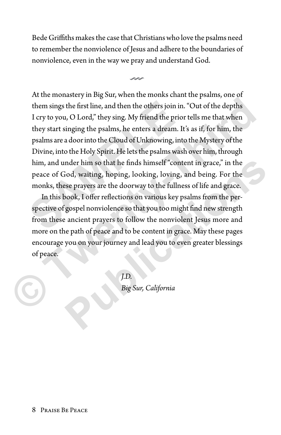Bede Griffiths makes the case that Christians who love the psalms need to remember the nonviolence of Jesus and adhere to the boundaries of nonviolence, even in the way we pray and understand God.

V

At the monastery in Big Sur, when the monks chant the psalms, one of them sings the first line, and then the others join in. "Out of the depths I cry to you, O Lord," they sing. My friend the prior tells me that when they start singing the psalms, he enters a dream. It's as if, for him, the psalms are a door into the Cloud of Unknowing, into the Mystery of the Divine, into the Holy Spirit. He lets the psalms wash over him, through him, and under him so that he finds himself "content in grace," in the peace of God, waiting, hoping, looking, loving, and being. For the monks, these prayers are the doorway to the fullness of life and grace. them sings the first line, and then the others join in.<br>I cry to you, O Lord," they sing. My friend the prior<br>they start singing the psalms, he enters a dream. It'<br>psalms are a door into the Cloud of Unknowing, into<br>Divine them sings the first line, and then the others join in. "Out of the depths<br>
Lery to you, O Lord," they sing. My friend the prior tells me that when<br>
they start singing the psalms, he enters a dream. It's as if, for him, th

In this book, I offer reflections on various key psalms from the perspective of gospel nonviolence so that you too might find new strength from these ancient prayers to follow the nonviolent Jesus more and more on the path of peace and to be content in grace. May these pages encourage you on your journey and lead you to even greater blessings of peace. nder him so that he finds himself "content in grace," in the<br>
iod, waiting, hoping, looking, loving, and being. For the<br>
see prayers are the doorway to the fullness of life and grace.<br>
book, I offer reflections on various

*J.D. Big Sur, California*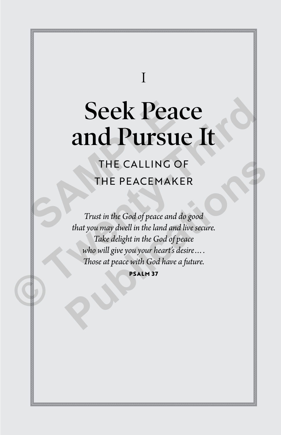# **Seek Peace and Pursue It Seek Peace<br>
and Pursue**<br>
THE CALLING OF<br>
THE PEACEMAKE<br>
Trust in the God of peace and do<br>
that you may dwell in the land and li

I

THE CALLING OF THE PEACEMAKER

*Trust in the God of peace and do good that you may dwell in the land and live secure. Take delight in the God of peace who will give you your heart's desire…. Those at peace with God have a future.* **Seek Peace<br>
and Pursue It**<br>
THE CALLING OF<br>
THE PEACEMAKER<br>
Trust in the God of peace and do good<br>
that you may dwell in the land and live secure.<br>
Take delight in the God of peace<br>
who will give you your heart's desire.. THE CALLING OF<br>
THE PEACEMAKER<br>
Trust in the God of peace and do good<br>
that you may dwell in the land and live secure.<br>
Take delight in the God of peace<br>
who will give you your heart's desire....<br>
Those at peace with God h

**PSALM 37**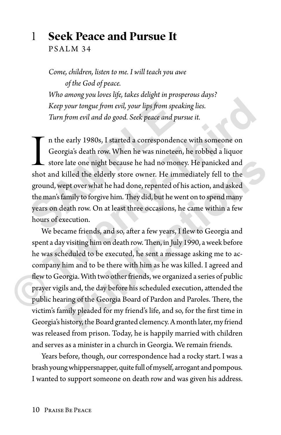### 1 **Seek Peace and Pursue It**

PSALM 34

*Come, children, listen to me. I will teach you awe of the God of peace. Who among you loves life, takes delight in prosperous days? Keep your tongue from evil, your lips from speaking lies. Turn from evil and do good. Seek peace and pursue it.* 

I n the early 1980s, I started a correspondence with someone on Georgia's death row. When he was nineteen, he robbed a liquor store late one night because he had no money. He panicked and shot and killed the elderly store owner. He immediately fell to the ground, wept over what he had done, repented of his action, and asked the man's family to forgive him. They did, but he went on to spend many years on death row. On at least three occasions, he came within a few hours of execution. Keep your tongue from evil, your lips from speaki<br>Turn from evil and do good. Seek peace and purs<br><br><br><br><br><br><br><br><br>**The early 1980s, I started a correspondence**<br>Georgia's death row. When he was nineteen,<br>store late one night becaus **Example 19 and 19 and 20 and 20 and 20 and 20 and 20 and 20 and 20 specified Scaling Scaling Scaling Scaling Turn from evil and do good. Seek peace and pursue it.<br>
<b>The mask of the act and 20 and 20 and 20 and 20 and 20 a** 

We became friends, and so, after a few years, I flew to Georgia and spent a day visiting him on death row. Then, in July 1990, a week before he was scheduled to be executed, he sent a message asking me to accompany him and to be there with him as he was killed. I agreed and flew to Georgia. With two other friends, we organized a series of public prayer vigils and, the day before his scheduled execution, attended the public hearing of the Georgia Board of Pardon and Paroles. There, the victim's family pleaded for my friend's life, and so, for the first time in Georgia's history, the Board granted clemency. A month later, my friend was released from prison. Today, he is happily married with children and serves as a minister in a church in Georgia. We remain friends. late one night because he had no money. He panicked and<br>illed the elderly store owner. He immediately fell to the<br>pt over what he had done, repented of his action, and asked<br>amily to forgive him. They did, but he went on t

Years before, though, our correspondence had a rocky start. I was a brash young whippersnapper, quite full of myself, arrogant and pompous. I wanted to support someone on death row and was given his address.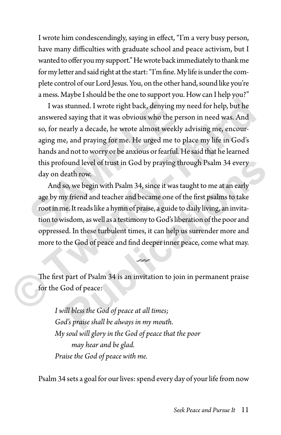I wrote him condescendingly, saying in effect, "I'm a very busy person, have many difficulties with graduate school and peace activism, but I wanted to offer you my support." He wrote back immediately to thank me for my letter and said right at the start: "I'm fine. My life is under the complete control of our Lord Jesus. You, on the other hand, sound like you're a mess. Maybe I should be the one to support you. How can I help you?"

I was stunned. I wrote right back, denying my need for help, but he answered saying that it was obvious who the person in need was. And so, for nearly a decade, he wrote almost weekly advising me, encouraging me, and praying for me. He urged me to place my life in God's hands and not to worry or be anxious or fearful. He said that he learned this profound level of trust in God by praying through Psalm 34 every day on death row. I was stunned. I wrote right back, denying my<br>answered saying that it was obvious who the pers<br>so, for nearly a decade, he wrote almost weekly a<br>aging me, and praying for me. He urged me to p<br>hands and not to worry or be a I was stunned. I wrote right back, denying my need for help, but he<br>answered saying that it was obvious who the person in need was. And<br>so, for nearly a decade, he wrote almost weekly advising me, encour-<br>aging me, and pra

And so, we begin with Psalm 34, since it was taught to me at an early age by my friend and teacher and became one of the first psalms to take root in me. It reads like a hymn of praise, a guide to daily living, an invitation to wisdom, as well as a testimony to God's liberation of the poor and oppressed. In these turbulent times, it can help us surrender more and more to the God of peace and find deeper inner peace, come what may. ound level of trust in God by praying through Psalm 34 every<br>eath row.<br>o, we begin with Psalm 34, since it was taught to me at an early<br>y friend and teacher and became one of the first psalms to take<br>e. It reads like a hym

The first part of Psalm 34 is an invitation to join in permanent praise for the God of peace:

 $\sim$ 

*I will bless the God of peace at all times; God's praise shall be always in my mouth. My soul will glory in the God of peace that the poor may hear and be glad. Praise the God of peace with me.*

Psalm 34 sets a goal for our lives: spend every day of your life from now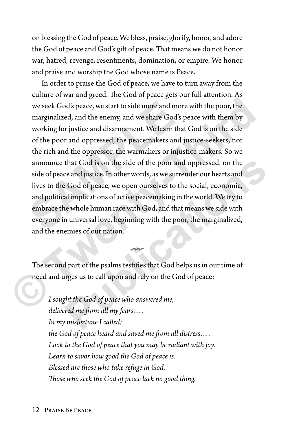on blessing the God of peace. We bless, praise, glorify, honor, and adore the God of peace and God's gift of peace. That means we do not honor war, hatred, revenge, resentments, domination, or empire. We honor and praise and worship the God whose name is Peace.

In order to praise the God of peace, we have to turn away from the culture of war and greed. The God of peace gets our full attention. As we seek God's peace, we start to side more and more with the poor, the marginalized, and the enemy, and we share God's peace with them by working for justice and disarmament. We learn that God is on the side of the poor and oppressed, the peacemakers and justice-seekers, not the rich and the oppressor, the warmakers or injustice-makers. So we announce that God is on the side of the poor and oppressed, on the side of peace and justice. In other words, as we surrender our hearts and lives to the God of peace, we open ourselves to the social, economic, and political implications of active peacemaking in the world. We try to embrace the whole human race with God, and that means we side with everyone in universal love, beginning with the poor, the marginalized, and the enemies of our nation. we seek God's peace, we start to side more and more<br>marginalized, and the enemy, and we share God's p<br>working for justice and disarmament. We learn that<br>of the poor and oppressed, the peacemakers and ji<br>the rich and the op we seek God's peace, we start to side more and more with the poor, the marginalized, and the enemy, and we share God's peace with them by working for justice and disarmament. We learn that God is on the side of the poor an that God is on the side of the poor and oppressed, on the<br>re and justice. In other words, as we surrender our hearts and<br>God of peace, we open ourselves to the social, economic,<br>al implications of active peacemaking in the

The second part of the psalms testifies that God helps us in our time of need and urges us to call upon and rely on the God of peace:

V

*I sought the God of peace who answered me, delivered me from all my fears…. In my misfortune I called; the God of peace heard and saved me from all distress…. Look to the God of peace that you may be radiant with joy. Learn to savor how good the God of peace is. Blessed are those who take refuge in God. Those who seek the God of peace lack no good thing.*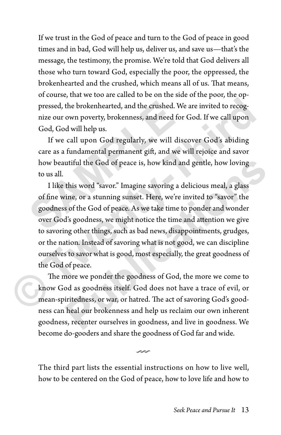If we trust in the God of peace and turn to the God of peace in good times and in bad, God will help us, deliver us, and save us—that's the message, the testimony, the promise. We're told that God delivers all those who turn toward God, especially the poor, the oppressed, the brokenhearted and the crushed, which means all of us. That means, of course, that we too are called to be on the side of the poor, the oppressed, the brokenhearted, and the crushed. We are invited to recognize our own poverty, brokenness, and need for God. If we call upon God, God will help us.

If we call upon God regularly, we will discover God's abiding care as a fundamental permanent gift, and we will rejoice and savor how beautiful the God of peace is, how kind and gentle, how loving to us all.

I like this word "savor." Imagine savoring a delicious meal, a glass of fine wine, or a stunning sunset. Here, we're invited to "savor" the goodness of the God of peace. As we take time to ponder and wonder over God's goodness, we might notice the time and attention we give to savoring other things, such as bad news, disappointments, grudges, or the nation. Instead of savoring what is not good, we can discipline ourselves to savor what is good, most especially, the great goodness of the God of peace. pressed, the brokenhearted, and the crushed. We<br>nize our own poverty, brokenness, and need for<br>God, God will help us.<br>If we call upon God regularly, we will disc<br>care as a fundamental permanent gift, and we w<br>how beautiful pressed, the brokenhearted, and the crushed. We are invited to recognize our own poverty, brokenness, and need for God. If we call upon God, God will help us.<br>
If we call upon God regularly, we will discover God's abiding utiful the God of peace is, how kind and gentle, how loving<br>this word "savor." Imagine savoring a delicious meal, a glass<br>ine, or a stunning sunset. Here, we're invited to "savor" the<br>s of the God of peace. As we take time

The more we ponder the goodness of God, the more we come to know God as goodness itself. God does not have a trace of evil, or mean-spiritedness, or war, or hatred. The act of savoring God's goodness can heal our brokenness and help us reclaim our own inherent goodness, recenter ourselves in goodness, and live in goodness. We become do-gooders and share the goodness of God far and wide.

The third part lists the essential instructions on how to live well, how to be centered on the God of peace, how to love life and how to

V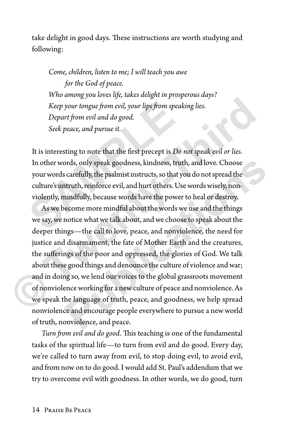take delight in good days. These instructions are worth studying and following:

*Come, children, listen to me; I will teach you awe for the God of peace. Who among you loves life, takes delight in prosperous days? Keep your tongue from evil, your lips from speaking lies. Depart from evil and do good. Seek peace, and pursue it.*

It is interesting to note that the first precept is *Do not speak evil or lies*. In other words, only speak goodness, kindness, truth, and love. Choose your words carefully, the psalmist instructs, so that you do not spread the culture's untruth, reinforce evil, and hurt others. Use words wisely, nonviolently, mindfully, because words have the power to heal or destroy. Keep your tongue from evil, your lips from speaki<br>Depart from evil and do good.<br>Seek peace, and pursue it.<br>It is interesting to note that the first precept is Do n<br>In other words, only speak goodness, kindness, truth<br>your

As we become more mindful about the words we use and the things we say, we notice what we talk about, and we choose to speak about the deeper things—the call to love, peace, and nonviolence, the need for justice and disarmament, the fate of Mother Earth and the creatures, the sufferings of the poor and oppressed, the glories of God. We talk about these good things and denounce the culture of violence and war; and in doing so, we lend our voices to the global grassroots movement of nonviolence working for a new culture of peace and nonviolence. As we speak the language of truth, peace, and goodness, we help spread nonviolence and encourage people everywhere to pursue a new world of truth, nonviolence, and peace. **Example 10 Example 10 Example 10 Example 10 Example 10 Example 10 Example 10 Example 10 Example 10 Example 10 Example 10 Example 10 Example 10 Example 10 Example 10 Example 10 Example 10** ords, only speak goodness, kindness, truth, and love. Choose<br>carefully, the psalmist instructs, so that you do not spread the<br>truth, reinforce evil, and hurt others. Use words wisely, non-<br>inindfully, because words have th

*Turn from evil and do good*. This teaching is one of the fundamental tasks of the spiritual life—to turn from evil and do good. Every day, we're called to turn away from evil, to stop doing evil, to avoid evil, and from now on to do good. I would add St. Paul's addendum that we try to overcome evil with goodness. In other words, we do good, turn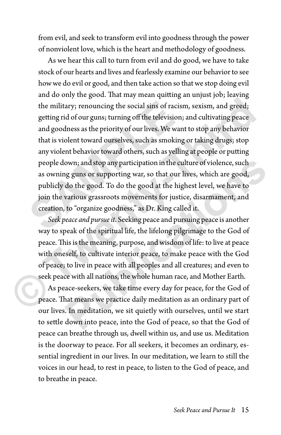from evil, and seek to transform evil into goodness through the power of nonviolent love, which is the heart and methodology of goodness.

As we hear this call to turn from evil and do good, we have to take stock of our hearts and lives and fearlessly examine our behavior to see how we do evil or good, and then take action so that we stop doing evil and do only the good. That may mean quitting an unjust job; leaving the military; renouncing the social sins of racism, sexism, and greed; getting rid of our guns; turning off the television; and cultivating peace and goodness as the priority of our lives. We want to stop any behavior that is violent toward ourselves, such as smoking or taking drugs; stop any violent behavior toward others, such as yelling at people or putting people down; and stop any participation in the culture of violence, such as owning guns or supporting war, so that our lives, which are good, publicly do the good. To do the good at the highest level, we have to join the various grassroots movements for justice, disarmament, and creation, to "organize goodness," as Dr. King called it. the military; renouncing the social sins of racism<br>getting rid of our guns; turning off the television;<br>and goodness as the priority of our lives. We want<br>that is violent toward ourselves, such as smoking<br>any violent behav the military, renouncing the social sins of racism, sexism, and greed;<br>getting rid of our guns; turning off the television; and cultivating peace<br>getting rid of our guns; turning off the television; and cultivating peace<br>a

*Seek peace and pursue it*. Seeking peace and pursuing peace is another way to speak of the spiritual life, the lifelong pilgrimage to the God of peace. This is the meaning, purpose, and wisdom of life: to live at peace with oneself, to cultivate interior peace, to make peace with the God of peace; to live in peace with all peoples and all creatures; and even to seek peace with all nations, the whole human race, and Mother Earth. own; and stop any participation in the culture of violence, such<br>g guns or supporting war, so that our lives, which are good,<br>do the good. To do the good at the highest level, we have to<br>various grassroots movements for ju

As peace-seekers, we take time every day for peace, for the God of peace. That means we practice daily meditation as an ordinary part of our lives. In meditation, we sit quietly with ourselves, until we start to settle down into peace, into the God of peace, so that the God of peace can breathe through us, dwell within us, and use us. Meditation is the doorway to peace. For all seekers, it becomes an ordinary, essential ingredient in our lives. In our meditation, we learn to still the voices in our head, to rest in peace, to listen to the God of peace, and to breathe in peace.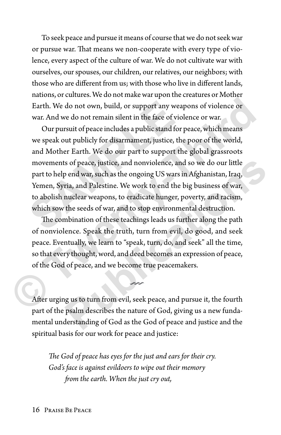To seek peace and pursue it means of course that we do not seek war or pursue war. That means we non-cooperate with every type of violence, every aspect of the culture of war. We do not cultivate war with ourselves, our spouses, our children, our relatives, our neighbors; with those who are different from us; with those who live in different lands, nations, or cultures. We do not make war upon the creatures or Mother Earth. We do not own, build, or support any weapons of violence or war. And we do not remain silent in the face of violence or war.

Our pursuit of peace includes a public stand for peace, which means we speak out publicly for disarmament, justice, the poor of the world, and Mother Earth. We do our part to support the global grassroots movements of peace, justice, and nonviolence, and so we do our little part to help end war, such as the ongoing US wars in Afghanistan, Iraq, Yemen, Syria, and Palestine. We work to end the big business of war, to abolish nuclear weapons, to eradicate hunger, poverty, and racism, which sow the seeds of war, and to stop environmental destruction. Earth. We do not own, build, or support any weap<br>war. And we do not remain silent in the face of viole<br>Our pursuit of peace includes a public stand for p<br>we speak out publicly for disarmament, justice, the<br>and Mother Earth Earth. We do not own, build, or support any weapons of violence or<br>Earth. We do not own, build, or support any weapons of violence or<br>war. And we do not remain silent in the face of violence or war.<br>Our pursuit of peace in is of peace, justice, and nonviolence, and so we do our little<br> **Publications a** en engoing US wars in Afghanistan, Iraq,<br> **ria**, and Palestine. We work to end the big business of war,<br>
nuclear weapons, to eradicate hunger

The combination of these teachings leads us further along the path of nonviolence. Speak the truth, turn from evil, do good, and seek peace. Eventually, we learn to "speak, turn, do, and seek" all the time, so that every thought, word, and deed becomes an expression of peace, of the God of peace, and we become true peacemakers.

After urging us to turn from evil, seek peace, and pursue it, the fourth part of the psalm describes the nature of God, giving us a new fundamental understanding of God as the God of peace and justice and the spiritual basis for our work for peace and justice:

V

*The God of peace has eyes for the just and ears for their cry. God's face is against evildoers to wipe out their memory from the earth. When the just cry out,*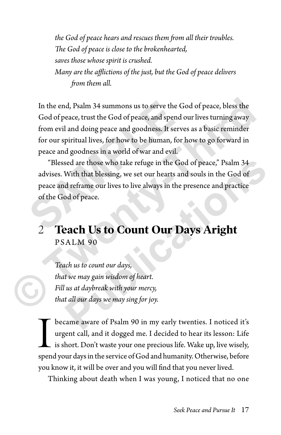*the God of peace hears and rescues them from all their troubles. The God of peace is close to the brokenhearted, saves those whose spirit is crushed. Many are the afflictions of the just, but the God of peace delivers from them all.* 

In the end, Psalm 34 summons us to serve the God of peace, bless the God of peace, trust the God of peace, and spend our lives turning away from evil and doing peace and goodness. It serves as a basic reminder for our spiritual lives, for how to be human, for how to go forward in peace and goodness in a world of war and evil. In the end, Psalm 34 summons us to serve the Go<br>God of peace, trust the God of peace, and spend of<br>from evil and doing peace and goodness. It serve<br>for our spiritual lives, for how to be human, for h<br>peace and goodness in In the end, Psalm 34 summons us to serve the God of peace, bless the<br>
God of peace, trust the God of peace, and spend our lives turning away<br>
from evil and doing peace and goodness. It serves as a basic reminder<br>
for our s

"Blessed are those who take refuge in the God of peace," Psalm 34 advises. With that blessing, we set our hearts and souls in the God of peace and reframe our lives to live always in the presence and practice of the God of peace. sed are those who take refuge in the God of peace," Psalm 34<br>With that blessing, we set our hearts and souls in the God of<br>d reframe our lives to live always in the presence and practice<br>od of peace.<br>**Pack Us to Count Our** 

#### 2 **Teach Us to Count Our Days Aright** PSALM 90

*Teach us to count our days, that we may gain wisdom of heart. Fill us at daybreak with your mercy, that all our days we may sing for joy.*

became aware of Psalm 90 in my early twenties. I noticed it's<br>urgent call, and it dogged me. I decided to hear its lesson: Life<br>is short. Don't waste your one precious life. Wake up, live wisely, urgent call, and it dogged me. I decided to hear its lesson: Life is short. Don't waste your one precious life. Wake up, live wisely, spend your days in the service of God and humanity. Otherwise, before you know it, it will be over and you will find that you never lived.

Thinking about death when I was young, I noticed that no one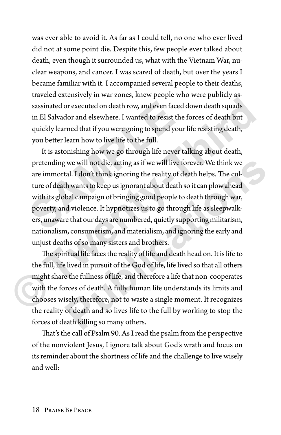was ever able to avoid it. As far as I could tell, no one who ever lived did not at some point die. Despite this, few people ever talked about death, even though it surrounded us, what with the Vietnam War, nuclear weapons, and cancer. I was scared of death, but over the years I became familiar with it. I accompanied several people to their deaths, traveled extensively in war zones, knew people who were publicly assassinated or executed on death row, and even faced down death squads in El Salvador and elsewhere. I wanted to resist the forces of death but quickly learned that if you were going to spend your life resisting death, you better learn how to live life to the full.

It is astonishing how we go through life never talking about death, pretending we will not die, acting as if we will live forever. We think we are immortal. I don't think ignoring the reality of death helps. The culture of death wants to keep us ignorant about death so it can plow ahead with its global campaign of bringing good people to death through war, poverty, and violence. It hypnotizes us to go through life as sleepwalkers, unaware that our days are numbered, quietly supporting militarism, nationalism, consumerism, and materialism, and ignoring the early and unjust deaths of so many sisters and brothers. sassinated or executed on death row, and even faced in El Salvador and elsewhere. I wanted to resist the quickly learned that if you were going to spend your you better learn how to live life to the full. It is astonishing sassinated or executed on death row, and even faced down death squads<br>in El Salvador and elsewhere. I wanted to resist the forces of death but<br>quickly learned that if you were going to spend your life resisting death,<br>you the wearth wearth wearth wearth wearth the state of the state of the state of the state of the state of the state of the state. I don't think ignoring the reality of death helps. The cultive meants to keep us ignorant abou

The spiritual life faces the reality of life and death head on. It is life to the full, life lived in pursuit of the God of life, life lived so that all others might share the fullness of life, and therefore a life that non-cooperates with the forces of death. A fully human life understands its limits and chooses wisely, therefore, not to waste a single moment. It recognizes the reality of death and so lives life to the full by working to stop the forces of death killing so many others.

That's the call of Psalm 90. As I read the psalm from the perspective of the nonviolent Jesus, I ignore talk about God's wrath and focus on its reminder about the shortness of life and the challenge to live wisely and well: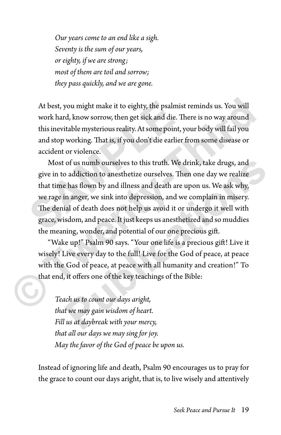*Our years come to an end like a sigh. Seventy is the sum of our years, or eighty, if we are strong; most of them are toil and sorrow; they pass quickly, and we are gone.*

At best, you might make it to eighty, the psalmist reminds us. You will work hard, know sorrow, then get sick and die. There is no way around this inevitable mysterious reality. At some point, your body will fail you and stop working. That is, if you don't die earlier from some disease or accident or violence.

Most of us numb ourselves to this truth. We drink, take drugs, and give in to addiction to anesthetize ourselves. Then one day we realize that time has flown by and illness and death are upon us. We ask why, we rage in anger, we sink into depression, and we complain in misery. The denial of death does not help us avoid it or undergo it well with grace, wisdom, and peace. It just keeps us anesthetized and so muddies the meaning, wonder, and potential of our one precious gift. At best, you might make it to eighty, the psalmist<br>work hard, know sorrow, then get sick and die. Th<br>this inevitable mysterious reality. At some point, y<br>and stop working. That is, if you don't die earlier f<br>accident or vi At best, you might make it to eighty, the psalmist reminds us. You will<br>work hard, know sorrow, then get sick and die. There is no way around<br>this inevitable mysterious reality. At some point, your body will fail you<br>and s of us numb ourselves to this truth. We drink, take drugs, and<br>
addiction to anesthetize ourselves. Then one day we realize<br>
has flown by and illness and death are upon us. We ask why,<br>
n anger, we sink into depression, and

"Wake up!" Psalm 90 says. "Your one life is a precious gift! Live it wisely! Live every day to the full! Live for the God of peace, at peace with the God of peace, at peace with all humanity and creation!" To that end, it offers one of the key teachings of the Bible:

*Teach us to count our days aright, that we may gain wisdom of heart. Fill us at daybreak with your mercy, that all our days we may sing for joy. May the favor of the God of peace be upon us.*

Instead of ignoring life and death, Psalm 90 encourages us to pray for the grace to count our days aright, that is, to live wisely and attentively